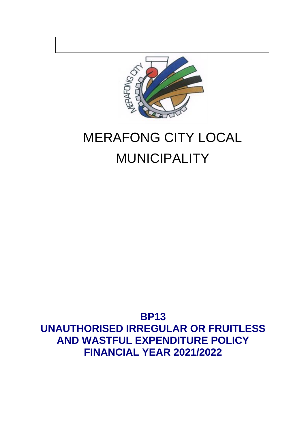

# MERAFONG CITY LOCAL MUNICIPALITY

## **BP13 UNAUTHORISED IRREGULAR OR FRUITLESS AND WASTFUL EXPENDITURE POLICY FINANCIAL YEAR 2021/2022**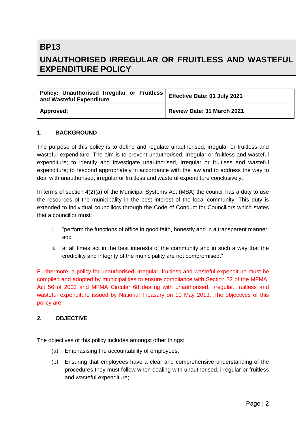### **BP13 UNAUTHORISED IRREGULAR OR FRUITLESS AND WASTEFUL EXPENDITURE POLICY**

| Policy: Unauthorised Irregular or Fruitless<br>and Wasteful Expenditure | Effective Date: 01 July 2021 |
|-------------------------------------------------------------------------|------------------------------|
| Approved:                                                               | Review Date: 31 March 2021   |

#### **1. BACKGROUND**

The purpose of this policy is to define and regulate unauthorised, irregular or fruitless and wasteful expenditure. The aim is to prevent unauthorised, irregular or fruitless and wasteful expenditure; to identify and investigate unauthorised, irregular or fruitless and wasteful expenditure; to respond appropriately in accordance with the law and to address the way to deal with unauthorised, irregular or fruitless and wasteful expenditure conclusively.

In terms of section 4(2)(a) of the Municipal Systems Act (MSA) the council has a duty to use the resources of the municipality in the best interest of the local community. This duty is extended to individual councillors through the Code of Conduct for Councillors which states that a councillor must:

- i. "perform the functions of office in good faith, honestly and in a transparent manner, and
- ii. at all times act in the best interests of the community and in such a way that the credibility and integrity of the municipality are not compromised."

Furthermore, a policy for unauthorised, irregular, fruitless and wasteful expenditure must be compiled and adopted by municipalities to ensure compliance with Section 32 of the MFMA, Act 56 of 2003 and MFMA Circular 68 dealing with unauthorised, irregular, fruitless and wasteful expenditure issued by National Treasury on 10 May 2013. The objectives of this policy are:

#### **2. OBJECTIVE**

The objectives of this policy includes amongst other things:

- (a) Emphasising the accountability of employees;
- (b) Ensuring that employees have a clear and comprehensive understanding of the procedures they must follow when dealing with unauthorised, irregular or fruitless and wasteful expenditure;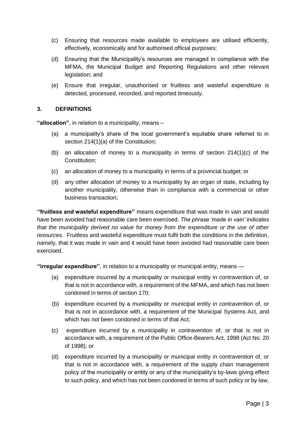- (c) Ensuring that resources made available to employees are utilised efficiently, effectively, economically and for authorised official purposes;
- (d) Ensuring that the Municipality's resources are managed in compliance with the MFMA, the Municipal Budget and Reporting Regulations and other relevant legislation; and
- (e) Ensure that irregular, unauthorised or fruitless and wasteful expenditure is detected, processed, recorded, and reported timeously.

#### **3. DEFINITIONS**

**"allocation"**, in relation to a municipality, means –

- (a) a municipality's share of the local government's equitable share referred to in section 214(1)(a) of the Constitution;
- (b) an allocation of money to a municipality in terms of section  $214(1)(c)$  of the Constitution;
- (c) an allocation of money to a municipality in terms of a provincial budget; or
- (d) any other allocation of money to a municipality by an organ of state, including by another municipality, otherwise than in compliance with a commercial or other business transaction;

**''fruitless and wasteful expenditure''** means expenditure that was made in vain and would have been avoided had reasonable care been exercised. *The phrase 'made in vain' indicates that the municipality derived no value for money from the expenditure or the use of other resources.* Fruitless and wasteful expenditure must fulfil both the conditions in the definition, namely, that it was made in vain and it would have been avoided had reasonable care been exercised.

**''irregular expenditure''**, in relation to a municipality or municipal entity, means —

- (a) expenditure incurred by a municipality or municipal entity in contravention of, or that is not in accordance with, a requirement of the MFMA, and which has not been condoned in terms of section 170;
- (b) expenditure incurred by a municipality or municipal entity in contravention of, or that is not in accordance with, a requirement of the Municipal Systems Act, and which has not been condoned in terms of that Act;
- (c) expenditure incurred by a municipality in contravention of, or that is not in accordance with, a requirement of the Public Office-Bearers Act, 1998 (Act No. 20 of 1998); or
- (d) expenditure incurred by a municipality or municipal entity in contravention of, or that is not in accordance with, a requirement of the supply chain management policy of the municipality or entity or any of the municipality's by-laws giving effect to such policy, and which has not been condoned in terms of such policy or by-law,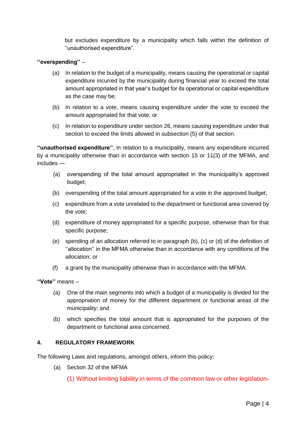but excludes expenditure by a municipality which falls within the definition of ''unauthorised expenditure".

#### **''overspending''** –

- (a) In relation to the budget of a municipality, means causing the operational or capital expenditure incurred by the municipality during financial year to exceed the total amount appropriated in that year's budget for its operational or capital expenditure as the case may be;
- (b) In relation to a vote, means causing expenditure under the vote to exceed the amount appropriated for that vote; or
- (c) In relation to expenditure under section 26, means causing expenditure under that section to exceed the limits allowed in subsection (5) of that section.

**''unauthorised expenditure''**, in relation to a municipality, means any expenditure incurred by a municipality otherwise than in accordance with section 15 or 11(3) of the MFMA, and includes —

- (a) overspending of the total amount appropriated in the municipality's approved budget;
- (b) overspending of the total amount appropriated for a vote in the approved budget;
- (c) expenditure from a vote unrelated to the department or functional area covered by the vote;
- (d) expenditure of money appropriated for a specific purpose, otherwise than for that specific purpose;
- (e) spending of an allocation referred to in paragraph (b), (c) or (d) of the definition of ''allocation'' in the MFMA otherwise than in accordance with any conditions of the allocation; or
- (f) a grant by the municipality otherwise than in accordance with the MFMA.

**''Vote''** means –

- (a) One of the main segments into which a budget of a municipality is divided for the appropriation of money for the different department or functional areas of the municipality; and
- (b) which specifies the total amount that is appropriated for the purposes of the department or functional area concerned.

#### **4. REGULATORY FRAMEWORK**

The following Laws and regulations, amongst others, inform this policy:

(a) Section 32 of the MFMA

(1) Without limiting liability in terms of the common law or other legislation-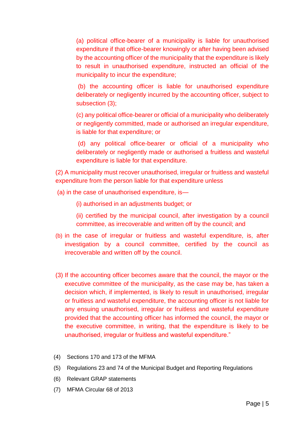(a) political office-bearer of a municipality is liable for unauthorised expenditure if that office-bearer knowingly or after having been advised by the accounting officer of the municipality that the expenditure is likely to result in unauthorised expenditure, instructed an official of the municipality to incur the expenditure;

(b) the accounting officer is liable for unauthorised expenditure deliberately or negligently incurred by the accounting officer, subject to subsection (3);

(c) any political office-bearer or official of a municipality who deliberately or negligently committed, made or authorised an irregular expenditure, is liable for that expenditure; or

(d) any political office-bearer or official of a municipality who deliberately or negligently made or authorised a fruitless and wasteful expenditure is liable for that expenditure.

(2) A municipality must recover unauthorised, irregular or fruitless and wasteful expenditure from the person liable for that expenditure unless

- (a) in the case of unauthorised expenditure, is—
	- (i) authorised in an adjustments budget; or
	- (ii) certified by the municipal council, after investigation by a council committee, as irrecoverable and written off by the council; and
- (b) in the case of irregular or fruitless and wasteful expenditure, is, after investigation by a council committee, certified by the council as irrecoverable and written off by the council.
- (3) If the accounting officer becomes aware that the council, the mayor or the executive committee of the municipality, as the case may be, has taken a decision which, if implemented, is likely to result in unauthorised, irregular or fruitless and wasteful expenditure, the accounting officer is not liable for any ensuing unauthorised, irregular or fruitless and wasteful expenditure provided that the accounting officer has informed the council, the mayor or the executive committee, in writing, that the expenditure is likely to be unauthorised, irregular or fruitless and wasteful expenditure."
- (4) Sections 170 and 173 of the MFMA
- (5) Regulations 23 and 74 of the Municipal Budget and Reporting Regulations
- (6) Relevant GRAP statements
- (7) MFMA Circular 68 of 2013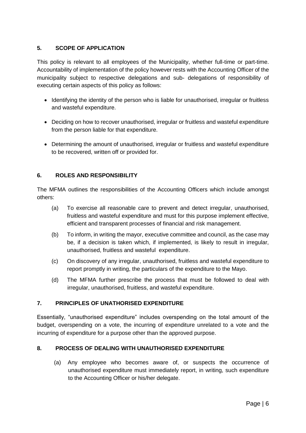#### **5. SCOPE OF APPLICATION**

This policy is relevant to all employees of the Municipality, whether full-time or part-time. Accountability of implementation of the policy however rests with the Accounting Officer of the municipality subject to respective delegations and sub- delegations of responsibility of executing certain aspects of this policy as follows:

- Identifying the identity of the person who is liable for unauthorised, irregular or fruitless and wasteful expenditure.
- Deciding on how to recover unauthorised, irregular or fruitless and wasteful expenditure from the person liable for that expenditure.
- Determining the amount of unauthorised, irregular or fruitless and wasteful expenditure to be recovered, written off or provided for.

#### **6. ROLES AND RESPONSIBILITY**

The MFMA outlines the responsibilities of the Accounting Officers which include amongst others:

- (a) To exercise all reasonable care to prevent and detect irregular, unauthorised, fruitless and wasteful expenditure and must for this purpose implement effective, efficient and transparent processes of financial and risk management.
- (b) To inform, in writing the mayor, executive committee and council, as the case may be, if a decision is taken which, if implemented, is likely to result in irregular, unauthorised, fruitless and wasteful expenditure.
- (c) On discovery of any irregular, unauthorised, fruitless and wasteful expenditure to report promptly in writing, the particulars of the expenditure to the Mayo.
- (d) The MFMA further prescribe the process that must be followed to deal with irregular, unauthorised, fruitless, and wasteful expenditure.

#### **7. PRINCIPLES OF UNATHORISED EXPENDITURE**

Essentially, "unauthorised expenditure" includes overspending on the total amount of the budget, overspending on a vote, the incurring of expenditure unrelated to a vote and the incurring of expenditure for a purpose other than the approved purpose.

#### **8. PROCESS OF DEALING WITH UNAUTHORISED EXPENDITURE**

(a) Any employee who becomes aware of, or suspects the occurrence of unauthorised expenditure must immediately report, in writing, such expenditure to the Accounting Officer or his/her delegate.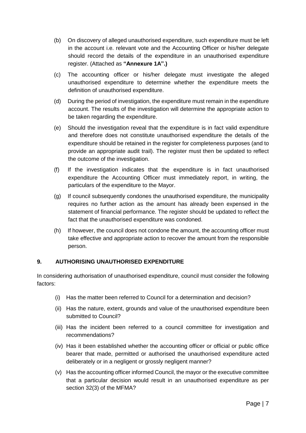- (b) On discovery of alleged unauthorised expenditure, such expenditure must be left in the account i.e. relevant vote and the Accounting Officer or his/her delegate should record the details of the expenditure in an unauthorised expenditure register. (Attached as **"Annexure 1A".)**
- (c) The accounting officer or his/her delegate must investigate the alleged unauthorised expenditure to determine whether the expenditure meets the definition of unauthorised expenditure.
- (d) During the period of investigation, the expenditure must remain in the expenditure account. The results of the investigation will determine the appropriate action to be taken regarding the expenditure.
- (e) Should the investigation reveal that the expenditure is in fact valid expenditure and therefore does not constitute unauthorised expenditure the details of the expenditure should be retained in the register for completeness purposes (and to provide an appropriate audit trail). The register must then be updated to reflect the outcome of the investigation.
- (f) If the investigation indicates that the expenditure is in fact unauthorised expenditure the Accounting Officer must immediately report, in writing, the particulars of the expenditure to the Mayor.
- (g) If council subsequently condones the unauthorised expenditure, the municipality requires no further action as the amount has already been expensed in the statement of financial performance. The register should be updated to reflect the fact that the unauthorised expenditure was condoned.
- (h) If however, the council does not condone the amount, the accounting officer must take effective and appropriate action to recover the amount from the responsible person.

#### **9. AUTHORISING UNAUTHORISED EXPENDITURE**

In considering authorisation of unauthorised expenditure, council must consider the following factors:

- (i) Has the matter been referred to Council for a determination and decision?
- (ii) Has the nature, extent, grounds and value of the unauthorised expenditure been submitted to Council?
- (iii) Has the incident been referred to a council committee for investigation and recommendations?
- (iv) Has it been established whether the accounting officer or official or public office bearer that made, permitted or authorised the unauthorised expenditure acted deliberately or in a negligent or grossly negligent manner?
- (v) Has the accounting officer informed Council, the mayor or the executive committee that a particular decision would result in an unauthorised expenditure as per section 32(3) of the MFMA?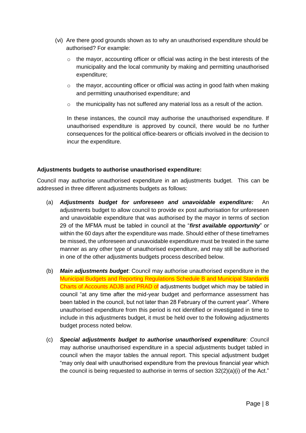- (vi) Are there good grounds shown as to why an unauthorised expenditure should be authorised? For example:
	- $\circ$  the mayor, accounting officer or official was acting in the best interests of the municipality and the local community by making and permitting unauthorised expenditure;
	- $\circ$  the mayor, accounting officer or official was acting in good faith when making and permitting unauthorised expenditure; and
	- $\circ$  the municipality has not suffered any material loss as a result of the action.

In these instances, the council may authorise the unauthorised expenditure. If unauthorised expenditure is approved by council, there would be no further consequences for the political office-bearers or officials involved in the decision to incur the expenditure.

#### **Adjustments budgets to authorise unauthorised expenditure:**

Council may authorise unauthorised expenditure in an adjustments budget. This can be addressed in three different adjustments budgets as follows:

- (a) *Adjustments budget for unforeseen and unavoidable expenditure:* An adjustments budget to allow council to provide ex post authorisation for unforeseen and unavoidable expenditure that was authorised by the mayor in terms of section 29 of the MFMA must be tabled in council at the "*first available opportunity*" or within the 60 days after the expenditure was made. Should either of these timeframes be missed, the unforeseen and unavoidable expenditure must be treated in the same manner as any other type of unauthorised expenditure, and may still be authorised in one of the other adjustments budgets process described below.
- (b) *Main adjustments budget*: Council may authorise unauthorised expenditure in the Municipal Budgets and Reporting Regulations Schedule B and Municipal Standards Charts of Accounts ADJB and PRAD of adjustments budget which may be tabled in council "at any time after the mid-year budget and performance assessment has been tabled in the council, but not later than 28 February of the current year". Where unauthorised expenditure from this period is not identified or investigated in time to include in this adjustments budget, it must be held over to the following adjustments budget process noted below.
- (c) *Special adjustments budget to authorise unauthorised expenditure: C*ouncil may authorise unauthorised expenditure in a special adjustments budget tabled in council when the mayor tables the annual report. This special adjustment budget "may only deal with unauthorised expenditure from the previous financial year which the council is being requested to authorise in terms of section 32(2)(a)(i) of the Act."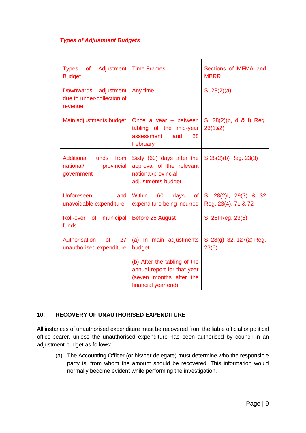#### *Types of Adjustment Budgets*

| of<br><b>Types</b><br>Adjustment<br><b>Budget</b>                        | <b>Time Frames</b>                                                                                            | Sections of MFMA and<br><b>MBRR</b>          |
|--------------------------------------------------------------------------|---------------------------------------------------------------------------------------------------------------|----------------------------------------------|
| <b>Downwards</b><br>adjustment<br>due to under-collection of<br>revenue  | Any time                                                                                                      | S. 28(2)(a)                                  |
| Main adjustments budget                                                  | Once a year $-$ between<br>tabling of the mid-year<br>and<br>28<br>assessment<br>February                     | S. 28(2)(b, d & f) Reg.<br>23(1&2)           |
| <b>Additional funds</b><br>from<br>national/<br>provincial<br>government | Sixty (60) days after the<br>approval of the relevant<br>national/provincial<br>adjustments budget            | S.28(2)(b) Reg. 23(3)                        |
| <b>Unforeseen</b><br>and<br>unavoidable expenditure                      | <b>Within</b><br>60<br>days<br><b>of</b><br>expenditure being incurred                                        | S. 28(2)I, 29(3) & 32<br>Reg. 23(4), 71 & 72 |
| Roll-over of municipal<br>funds                                          | Before 25 August                                                                                              | S. 281 Reg. 23(5)                            |
| Authorisation<br>27<br><b>of</b><br>unauthorised expenditure             | (a) In main adjustments<br>budget                                                                             | S. 28(g), 32, 127(2) Reg.<br>23(6)           |
|                                                                          | (b) After the tabling of the<br>annual report for that year<br>(seven months after the<br>financial year end) |                                              |

#### **10. RECOVERY OF UNAUTHORISED EXPENDITURE**

All instances of unauthorised expenditure must be recovered from the liable official or political office-bearer, unless the unauthorised expenditure has been authorised by council in an adjustment budget as follows:

(a) The Accounting Officer (or his/her delegate) must determine who the responsible party is, from whom the amount should be recovered. This information would normally become evident while performing the investigation.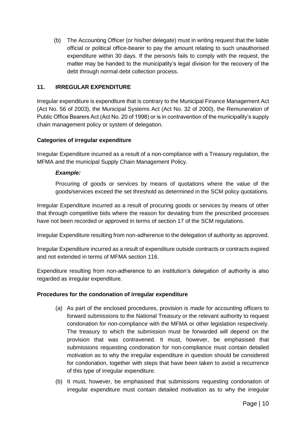(b) The Accounting Officer (or his/her delegate) must in writing request that the liable official or political office-bearer to pay the amount relating to such unauthorised expenditure within 30 days. If the person/s fails to comply with the request, the matter may be handed to the municipality's legal division for the recovery of the debt through normal debt collection process.

#### **11. IRREGULAR EXPENDITURE**

Irregular expenditure is expenditure that is contrary to the Municipal Finance Management Act (Act No. 56 of 2003), the Municipal Systems Act (Act No. 32 of 2000), the Remuneration of Public Office Bearers Act (Act No. 20 of 1998) or is in contravention of the municipality's supply chain management policy or system of delegation.

#### **Categories of irregular expenditure**

Irregular Expenditure incurred as a result of a non-compliance with a Treasury regulation, the MFMA and the municipal Supply Chain Management Policy.

#### *Example:*

Procuring of goods or services by means of quotations where the value of the goods/services exceed the set threshold as determined in the SCM policy quotations.

Irregular Expenditure incurred as a result of procuring goods or services by means of other that through competitive bids where the reason for deviating from the prescribed processes have not been recorded or approved in terms of section 17 of the SCM regulations.

Irregular Expenditure resulting from non-adherence to the delegation of authority as approved.

Irregular Expenditure incurred as a result of expenditure outside contracts or contracts expired and not extended in terms of MFMA section 116.

Expenditure resulting from non-adherence to an institution's delegation of authority is also regarded as irregular expenditure.

#### **Procedures for the condonation of irregular expenditure**

- (a) As part of the enclosed procedures, provision is made for accounting officers to forward submissions to the National Treasury or the relevant authority to request condonation for non-compliance with the MFMA or other legislation respectively. The treasury to which the submission must be forwarded will depend on the provision that was contravened. It must, however, be emphasised that submissions requesting condonation for non-compliance must contain detailed motivation as to why the irregular expenditure in question should be considered for condonation, together with steps that have been taken to avoid a recurrence of this type of irregular expenditure.
- (b) It must, however, be emphasised that submissions requesting condonation of irregular expenditure must contain detailed motivation as to why the irregular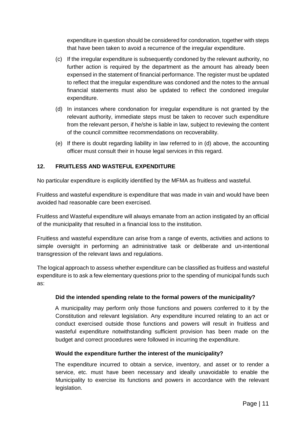expenditure in question should be considered for condonation, together with steps that have been taken to avoid a recurrence of the irregular expenditure.

- (c) If the irregular expenditure is subsequently condoned by the relevant authority, no further action is required by the department as the amount has already been expensed in the statement of financial performance. The register must be updated to reflect that the irregular expenditure was condoned and the notes to the annual financial statements must also be updated to reflect the condoned irregular expenditure.
- (d) In instances where condonation for irregular expenditure is not granted by the relevant authority, immediate steps must be taken to recover such expenditure from the relevant person, if he/she is liable in law, subject to reviewing the content of the council committee recommendations on recoverability.
- (e) If there is doubt regarding liability in law referred to in (d) above, the accounting officer must consult their in house legal services in this regard.

#### **12. FRUITLESS AND WASTEFUL EXPENDITURE**

No particular expenditure is explicitly identified by the MFMA as fruitless and wasteful.

Fruitless and wasteful expenditure is expenditure that was made in vain and would have been avoided had reasonable care been exercised.

Fruitless and Wasteful expenditure will always emanate from an action instigated by an official of the municipality that resulted in a financial loss to the institution.

Fruitless and wasteful expenditure can arise from a range of events, activities and actions to simple oversight in performing an administrative task or deliberate and un-intentional transgression of the relevant laws and regulations.

The logical approach to assess whether expenditure can be classified as fruitless and wasteful expenditure is to ask a few elementary questions prior to the spending of municipal funds such as:

#### **Did the intended spending relate to the formal powers of the municipality?**

A municipality may perform only those functions and powers conferred to it by the Constitution and relevant legislation. Any expenditure incurred relating to an act or conduct exercised outside those functions and powers will result in fruitless and wasteful expenditure notwithstanding sufficient provision has been made on the budget and correct procedures were followed in incurring the expenditure.

#### **Would the expenditure further the interest of the municipality?**

The expenditure incurred to obtain a service, inventory, and asset or to render a service, etc. must have been necessary and ideally unavoidable to enable the Municipality to exercise its functions and powers in accordance with the relevant legislation.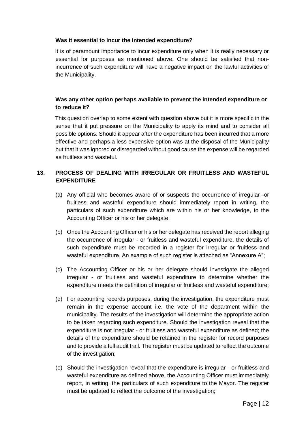#### **Was it essential to incur the intended expenditure?**

It is of paramount importance to incur expenditure only when it is really necessary or essential for purposes as mentioned above. One should be satisfied that nonincurrence of such expenditure will have a negative impact on the lawful activities of the Municipality.

#### **Was any other option perhaps available to prevent the intended expenditure or to reduce it?**

This question overlap to some extent with question above but it is more specific in the sense that it put pressure on the Municipality to apply its mind and to consider all possible options. Should it appear after the expenditure has been incurred that a more effective and perhaps a less expensive option was at the disposal of the Municipality but that it was ignored or disregarded without good cause the expense will be regarded as fruitless and wasteful.

#### **13. PROCESS OF DEALING WITH IRREGULAR OR FRUITLESS AND WASTEFUL EXPENDITURE**

- (a) Any official who becomes aware of or suspects the occurrence of irregular -or fruitless and wasteful expenditure should immediately report in writing, the particulars of such expenditure which are within his or her knowledge, to the Accounting Officer or his or her delegate;
- (b) Once the Accounting Officer or his or her delegate has received the report alleging the occurrence of irregular - or fruitless and wasteful expenditure, the details of such expenditure must be recorded in a register for irregular or fruitless and wasteful expenditure. An example of such register is attached as "Annexure A";
- (c) The Accounting Officer or his or her delegate should investigate the alleged irregular - or fruitless and wasteful expenditure to determine whether the expenditure meets the definition of irregular or fruitless and wasteful expenditure;
- (d) For accounting records purposes, during the investigation, the expenditure must remain in the expense account i.e. the vote of the department within the municipality. The results of the investigation will determine the appropriate action to be taken regarding such expenditure. Should the investigation reveal that the expenditure is not irregular - or fruitless and wasteful expenditure as defined; the details of the expenditure should be retained in the register for record purposes and to provide a full audit trail. The register must be updated to reflect the outcome of the investigation;
- (e) Should the investigation reveal that the expenditure is irregular or fruitless and wasteful expenditure as defined above, the Accounting Officer must immediately report, in writing, the particulars of such expenditure to the Mayor. The register must be updated to reflect the outcome of the investigation;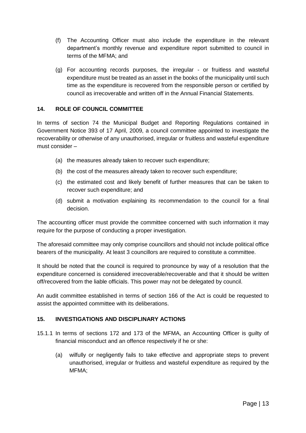- (f) The Accounting Officer must also include the expenditure in the relevant department's monthly revenue and expenditure report submitted to council in terms of the MFMA; and
- (g) For accounting records purposes, the irregular or fruitless and wasteful expenditure must be treated as an asset in the books of the municipality until such time as the expenditure is recovered from the responsible person or certified by council as irrecoverable and written off in the Annual Financial Statements.

#### **14. ROLE OF COUNCIL COMMITTEE**

In terms of section 74 the Municipal Budget and Reporting Regulations contained in Government Notice 393 of 17 April, 2009, a council committee appointed to investigate the recoverability or otherwise of any unauthorised, irregular or fruitless and wasteful expenditure must consider –

- (a) the measures already taken to recover such expenditure;
- (b) the cost of the measures already taken to recover such expenditure;
- (c) the estimated cost and likely benefit of further measures that can be taken to recover such expenditure; and
- (d) submit a motivation explaining its recommendation to the council for a final decision.

The accounting officer must provide the committee concerned with such information it may require for the purpose of conducting a proper investigation.

The aforesaid committee may only comprise councillors and should not include political office bearers of the municipality. At least 3 councillors are required to constitute a committee.

It should be noted that the council is required to pronounce by way of a resolution that the expenditure concerned is considered irrecoverable/recoverable and that it should be written off/recovered from the liable officials. This power may not be delegated by council.

An audit committee established in terms of section 166 of the Act is could be requested to assist the appointed committee with its deliberations.

#### **15. INVESTIGATIONS AND DISCIPLINARY ACTIONS**

- 15.1.1 In terms of sections 172 and 173 of the MFMA, an Accounting Officer is guilty of financial misconduct and an offence respectively if he or she:
	- (a) wilfully or negligently fails to take effective and appropriate steps to prevent unauthorised, irregular or fruitless and wasteful expenditure as required by the MFMA;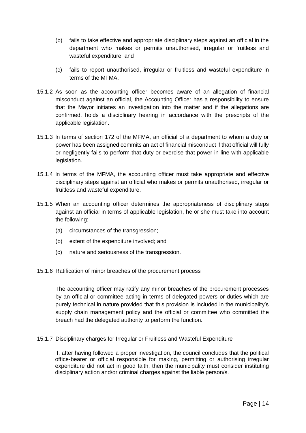- (b) fails to take effective and appropriate disciplinary steps against an official in the department who makes or permits unauthorised, irregular or fruitless and wasteful expenditure; and
- (c) fails to report unauthorised, irregular or fruitless and wasteful expenditure in terms of the MFMA.
- 15.1.2 As soon as the accounting officer becomes aware of an allegation of financial misconduct against an official, the Accounting Officer has a responsibility to ensure that the Mayor initiates an investigation into the matter and if the allegations are confirmed, holds a disciplinary hearing in accordance with the prescripts of the applicable legislation.
- 15.1.3 ln terms of section 172 of the MFMA, an official of a department to whom a duty or power has been assigned commits an act of financial misconduct if that official will fully or negligently fails to perform that duty or exercise that power in line with applicable legislation.
- 15.1.4 ln terms of the MFMA, the accounting officer must take appropriate and effective disciplinary steps against an official who makes or permits unauthorised, irregular or fruitless and wasteful expenditure.
- 15.1.5 When an accounting officer determines the appropriateness of disciplinary steps against an official in terms of applicable legislation, he or she must take into account the following:
	- (a) circumstances of the transgression;
	- (b) extent of the expenditure involved; and
	- (c) nature and seriousness of the transgression.
- 15.1.6 Ratification of minor breaches of the procurement process

The accounting officer may ratify any minor breaches of the procurement processes by an official or committee acting in terms of delegated powers or duties which are purely technical in nature provided that this provision is included in the municipality's supply chain management policy and the official or committee who committed the breach had the delegated authority to perform the function.

15.1.7 Disciplinary charges for Irregular or Fruitless and Wasteful Expenditure

If, after having followed a proper investigation, the council concludes that the political office-bearer or official responsible for making, permitting or authorising irregular expenditure did not act in good faith, then the municipality must consider instituting disciplinary action and/or criminal charges against the liable person/s.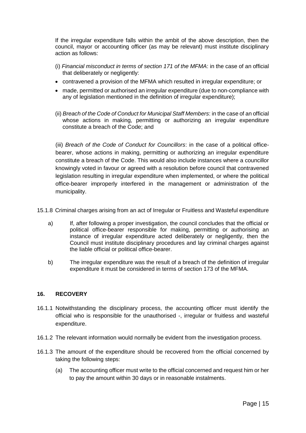If the irregular expenditure falls within the ambit of the above description, then the council, mayor or accounting officer (as may be relevant) must institute disciplinary action as follows:

- (i) *Financial misconduct in terms of section 171 of the MFMA*: in the case of an official that deliberately or negligently:
- contravened a provision of the MFMA which resulted in irregular expenditure; or
- made, permitted or authorised an irregular expenditure (due to non-compliance with any of legislation mentioned in the definition of irregular expenditure);
- (ii) *Breach of the Code of Conduct for Municipal Staff Members*: in the case of an official whose actions in making, permitting or authorizing an irregular expenditure constitute a breach of the Code; and

(iii) *Breach of the Code of Conduct for Councillors*: in the case of a political officebearer, whose actions in making, permitting or authorizing an irregular expenditure constitute a breach of the Code. This would also include instances where a councillor knowingly voted in favour or agreed with a resolution before council that contravened legislation resulting in irregular expenditure when implemented, or where the political office-bearer improperly interfered in the management or administration of the municipality.

- 15.1.8 Criminal charges arising from an act of Irregular or Fruitless and Wasteful expenditure
	- a) If, after following a proper investigation, the council concludes that the official or political office-bearer responsible for making, permitting or authorising an instance of irregular expenditure acted deliberately or negligently, then the Council must institute disciplinary procedures and lay criminal charges against the liable official or political office-bearer.
	- b) The irregular expenditure was the result of a breach of the definition of irregular expenditure it must be considered in terms of section 173 of the MFMA.

#### **16. RECOVERY**

- 16.1.1 Notwithstanding the disciplinary process, the accounting officer must identify the official who is responsible for the unauthorised -, irregular or fruitless and wasteful expenditure.
- 16.1.2 The relevant information would normally be evident from the investigation process.
- 16.1.3 The amount of the expenditure should be recovered from the official concerned by taking the following steps:
	- (a) The accounting officer must write to the official concerned and request him or her to pay the amount within 30 days or in reasonable instalments.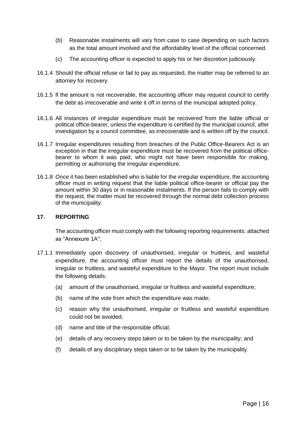- (b) Reasonable instalments will vary from case to case depending on such factors as the total amount involved and the affordability level of the official concerned.
- (c) The accounting officer is expected to apply his or her discretion judiciously.
- 16.1.4 Should the official refuse or fail to pay as requested, the matter may be referred to an attorney for recovery.
- 16.1.5 lf the amount is not recoverable, the accounting officer may request council to certify the debt as irrecoverable and write it off in terms of the municipal adopted policy.
- 16.1.6 All instances of irregular expenditure must be recovered from the liable official or political office-bearer, unless the expenditure is certified by the municipal council, after investigation by a council committee, as irrecoverable and is written off by the council.
- 16.1.7 Irregular expenditures resulting from breaches of the Public Office-Bearers Act is an exception in that the irregular expenditure must be recovered from the political officebearer to whom it was paid, who might not have been responsible for making, permitting or authorising the irregular expenditure.
- 16.1.8 Once it has been established who is liable for the irregular expenditure, the accounting officer must in writing request that the liable political office-bearer or official pay the amount within 30 days or in reasonable instalments. If the person fails to comply with the request, the matter must be recovered through the normal debt collection process of the municipality.

#### **17. REPORTING**

The accounting officer must comply with the following reporting requirements: attached as "Annexure 1A";

- 17.1.1 Immediately upon discovery of unauthorised, irregular or fruitless, and wasteful expenditure, the accounting officer must report the details of the unauthorised, irregular or fruitless, and wasteful expenditure to the Mayor. The report must include the following details:
	- (a) amount of the unauthorised, irregular or fruitless and wasteful expenditure;
	- (b) name of the vote from which the expenditure was made;
	- (c) reason why the unauthorised, irregular or fruitless and wasteful expenditure could not be avoided;
	- (d) name and title of the responsible official;
	- (e) details of any recovery steps taken or to be taken by the municipality; and
	- (f) details of any disciplinary steps taken or to be taken by the municipality.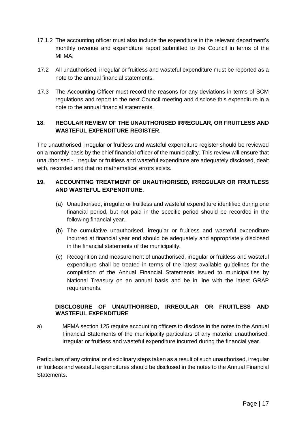- 17.1.2 The accounting officer must also include the expenditure in the relevant department's monthly revenue and expenditure report submitted to the Council in terms of the MFMA;
- 17.2 All unauthorised, irregular or fruitless and wasteful expenditure must be reported as a note to the annual financial statements.
- 17.3 The Accounting Officer must record the reasons for any deviations in terms of SCM regulations and report to the next Council meeting and disclose this expenditure in a note to the annual financial statements.

#### **18. REGULAR REVIEW OF THE UNAUTHORISED IRREGULAR, OR FRUITLESS AND WASTEFUL EXPENDITURE REGISTER.**

The unauthorised, irregular or fruitless and wasteful expenditure register should be reviewed on a monthly basis by the chief financial officer of the municipality. This review will ensure that unauthorised -, irregular or fruitless and wasteful expenditure are adequately disclosed, dealt with, recorded and that no mathematical errors exists.

#### **19. ACCOUNTING TREATMENT OF UNAUTHORISED, IRREGULAR OR FRUITLESS AND WASTEFUL EXPENDITURE.**

- (a) Unauthorised, irregular or fruitless and wasteful expenditure identified during one financial period, but not paid in the specific period should be recorded in the following financial year.
- (b) The cumulative unauthorised, irregular or fruitless and wasteful expenditure incurred at financial year end should be adequately and appropriately disclosed in the financial statements of the municipality.
- (c) Recognition and measurement of unauthorised, irregular or fruitless and wasteful expenditure shall be treated in terms of the latest available guidelines for the compilation of the Annual Financial Statements issued to municipalities by National Treasury on an annual basis and be in line with the latest GRAP requirements.

#### **DISCLOSURE OF UNAUTHORISED, IRREGULAR OR FRUITLESS AND WASTEFUL EXPENDITURE**

a) MFMA section 125 require accounting officers to disclose in the notes to the Annual Financial Statements of the municipality particulars of any material unauthorised, irregular or fruitless and wasteful expenditure incurred during the financial year.

Particulars of any criminal or disciplinary steps taken as a result of such unauthorised, irregular or fruitless and wasteful expenditures should be disclosed in the notes to the Annual Financial Statements.